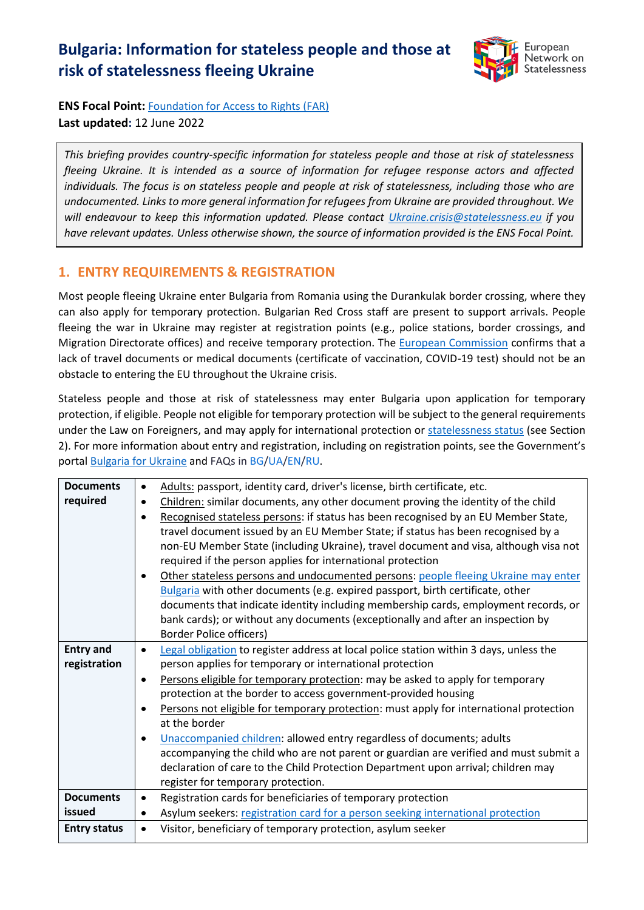# **Bulgaria: Information for stateless people and those at risk of statelessness fleeing Ukraine**



**ENS Focal Point:** [Foundation for Access to Rights \(FAR\)](http://farbg.eu/) **Last updated:** 12 June 2022

*This briefing provides country-specific information for stateless people and those at risk of statelessness fleeing Ukraine. It is intended as a source of information for refugee response actors and affected individuals. The focus is on stateless people and people at risk of statelessness, including those who are undocumented. Links to more general information for refugees from Ukraine are provided throughout. We will endeavour to keep this information updated. Please contact [Ukraine.crisis@statelessness.eu](mailto:Ukraine.crisis@statelessness.eu) if you have relevant updates. Unless otherwise shown, the source of information provided is the ENS Focal Point.*

### **1. ENTRY REQUIREMENTS & REGISTRATION**

Most people fleeing Ukraine enter Bulgaria from Romania using the Durankulak border crossing, where they can also apply for temporary protection. Bulgarian Red Cross staff are present to support arrivals. People fleeing the war in Ukraine may register at registration points (e.g., police stations, border crossings, and Migration Directorate offices) and receive temporary protection. The [European Commission](https://ec.europa.eu/info/sites/default/files/information_for_people_fleeing_russias_invasion_of_ukraine_en.pdf) confirms that a lack of travel documents or medical documents (certificate of vaccination, COVID-19 test) should not be an obstacle to entering the EU throughout the Ukraine crisis.

Stateless people and those at risk of statelessness may enter Bulgaria upon application for temporary protection, if eligible. People not eligible for temporary protection will be subject to the general requirements under the Law on Foreigners, and may apply for international protection or [statelessness status](http://www.statelessness.bg/) (see Section 2). For more information about entry and registration, including on registration points, see the Government's porta[l Bulgaria for Ukraine](https://ukraine.gov.bg/) and FAQs in [BG](https://ukraine.gov.bg/bg/issuance-of-temporary-protection/)[/UA](https://ukraine.gov.bg/ua/issuance-of-temporary-protection/)[/EN](https://ukraine.gov.bg/issuance-of-temporary-protection/#map)[/RU.](https://ukraine.gov.bg/ru/issuance-of-temporary-protection/)

| <b>Documents</b>    | $\bullet$ | Adults: passport, identity card, driver's license, birth certificate, etc.             |
|---------------------|-----------|----------------------------------------------------------------------------------------|
| required            | $\bullet$ | Children: similar documents, any other document proving the identity of the child      |
|                     | $\bullet$ | Recognised stateless persons: if status has been recognised by an EU Member State,     |
|                     |           | travel document issued by an EU Member State; if status has been recognised by a       |
|                     |           | non-EU Member State (including Ukraine), travel document and visa, although visa not   |
|                     |           | required if the person applies for international protection                            |
|                     |           | Other stateless persons and undocumented persons: people fleeing Ukraine may enter     |
|                     |           | Bulgaria with other documents (e.g. expired passport, birth certificate, other         |
|                     |           | documents that indicate identity including membership cards, employment records, or    |
|                     |           | bank cards); or without any documents (exceptionally and after an inspection by        |
|                     |           | <b>Border Police officers)</b>                                                         |
| <b>Entry and</b>    | $\bullet$ | Legal obligation to register address at local police station within 3 days, unless the |
| registration        |           | person applies for temporary or international protection                               |
|                     | $\bullet$ | Persons eligible for temporary protection: may be asked to apply for temporary         |
|                     |           | protection at the border to access government-provided housing                         |
|                     |           | Persons not eligible for temporary protection: must apply for international protection |
|                     |           | at the border                                                                          |
|                     | $\bullet$ | Unaccompanied children: allowed entry regardless of documents; adults                  |
|                     |           | accompanying the child who are not parent or guardian are verified and must submit a   |
|                     |           | declaration of care to the Child Protection Department upon arrival; children may      |
|                     |           | register for temporary protection.                                                     |
| <b>Documents</b>    | $\bullet$ | Registration cards for beneficiaries of temporary protection                           |
| issued              | ٠         | Asylum seekers: registration card for a person seeking international protection        |
| <b>Entry status</b> | $\bullet$ | Visitor, beneficiary of temporary protection, asylum seeker                            |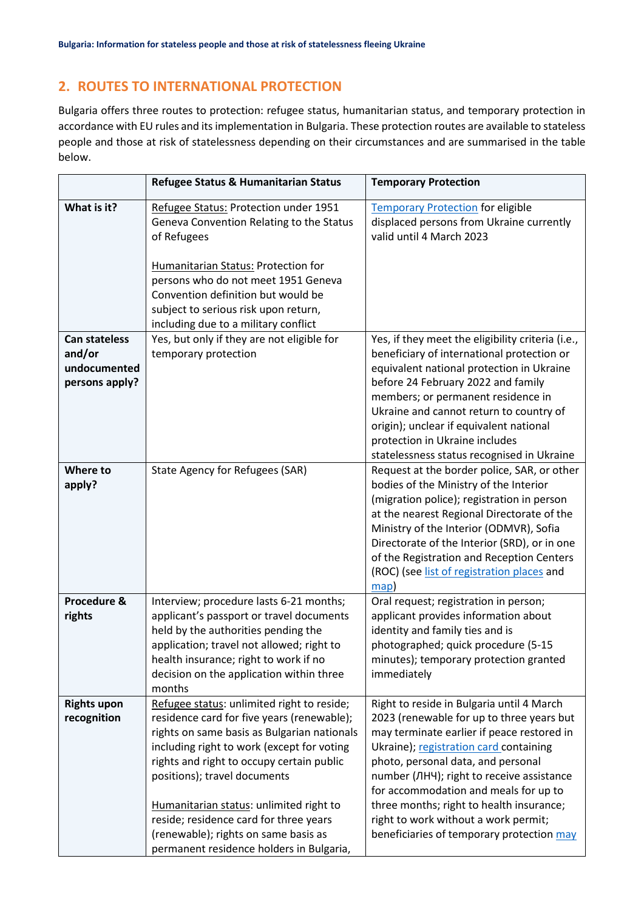# **2. ROUTES TO INTERNATIONAL PROTECTION**

Bulgaria offers three routes to protection: refugee status, humanitarian status, and temporary protection in accordance with EU rules and its implementation in Bulgaria. These protection routes are available to stateless people and those at risk of statelessness depending on their circumstances and are summarised in the table below.

|                                                                  | Refugee Status & Humanitarian Status                                                                                                                                                                                                                                                                                                                                                                                                        | <b>Temporary Protection</b>                                                                                                                                                                                                                                                                                                                                                                                                                 |
|------------------------------------------------------------------|---------------------------------------------------------------------------------------------------------------------------------------------------------------------------------------------------------------------------------------------------------------------------------------------------------------------------------------------------------------------------------------------------------------------------------------------|---------------------------------------------------------------------------------------------------------------------------------------------------------------------------------------------------------------------------------------------------------------------------------------------------------------------------------------------------------------------------------------------------------------------------------------------|
| What is it?                                                      | Refugee Status: Protection under 1951<br>Geneva Convention Relating to the Status<br>of Refugees<br><b>Humanitarian Status: Protection for</b><br>persons who do not meet 1951 Geneva<br>Convention definition but would be<br>subject to serious risk upon return,<br>including due to a military conflict                                                                                                                                 | <b>Temporary Protection for eligible</b><br>displaced persons from Ukraine currently<br>valid until 4 March 2023                                                                                                                                                                                                                                                                                                                            |
| <b>Can stateless</b><br>and/or<br>undocumented<br>persons apply? | Yes, but only if they are not eligible for<br>temporary protection                                                                                                                                                                                                                                                                                                                                                                          | Yes, if they meet the eligibility criteria (i.e.,<br>beneficiary of international protection or<br>equivalent national protection in Ukraine<br>before 24 February 2022 and family<br>members; or permanent residence in<br>Ukraine and cannot return to country of<br>origin); unclear if equivalent national<br>protection in Ukraine includes<br>statelessness status recognised in Ukraine                                              |
| Where to<br>apply?                                               | State Agency for Refugees (SAR)                                                                                                                                                                                                                                                                                                                                                                                                             | Request at the border police, SAR, or other<br>bodies of the Ministry of the Interior<br>(migration police); registration in person<br>at the nearest Regional Directorate of the<br>Ministry of the Interior (ODMVR), Sofia<br>Directorate of the Interior (SRD), or in one<br>of the Registration and Reception Centers<br>(ROC) (see list of registration places and<br>map)                                                             |
| Procedure &<br>rights                                            | Interview; procedure lasts 6-21 months;<br>applicant's passport or travel documents<br>held by the authorities pending the<br>application; travel not allowed; right to<br>health insurance; right to work if no<br>decision on the application within three<br>months                                                                                                                                                                      | Oral request; registration in person;<br>applicant provides information about<br>identity and family ties and is<br>photographed; quick procedure (5-15<br>minutes); temporary protection granted<br>immediately                                                                                                                                                                                                                            |
| <b>Rights upon</b><br>recognition                                | Refugee status: unlimited right to reside;<br>residence card for five years (renewable);<br>rights on same basis as Bulgarian nationals<br>including right to work (except for voting<br>rights and right to occupy certain public<br>positions); travel documents<br>Humanitarian status: unlimited right to<br>reside; residence card for three years<br>(renewable); rights on same basis as<br>permanent residence holders in Bulgaria, | Right to reside in Bulgaria until 4 March<br>2023 (renewable for up to three years but<br>may terminate earlier if peace restored in<br>Ukraine); registration card containing<br>photo, personal data, and personal<br>number (ЛНЧ); right to receive assistance<br>for accommodation and meals for up to<br>three months; right to health insurance;<br>right to work without a work permit;<br>beneficiaries of temporary protection may |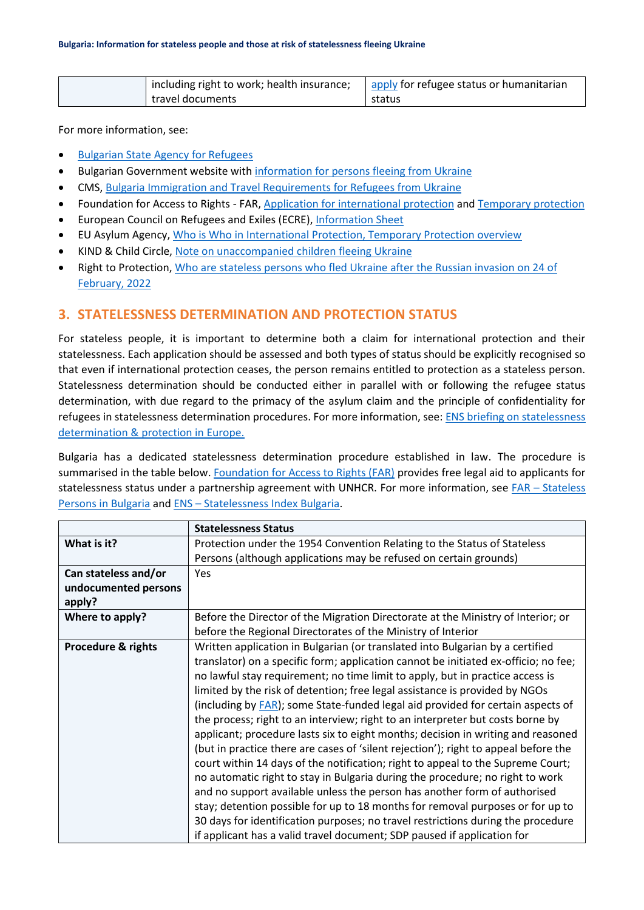| including right to work; health insurance; | apply for refugee status or humanitarian |
|--------------------------------------------|------------------------------------------|
| travel documents                           | status                                   |

For more information, see:

- [Bulgarian State Agency for](https://aref.government.bg/en) Refugees
- Bulgarian Government website wit[h information for persons fleeing from Ukraine](https://ukraine.gov.bg/)
- CMS[, Bulgaria Immigration and Travel Requirements for Refugees from Ukraine](https://cms.law/en/int/expert-guides/cms-expert-guide-to-refugee-immigration-and-travel-requirements/bulgaria)
- Foundation for Access to Rights FAR, [Application for international protection](http://migrantlife.bg/articles/application-international-protection) an[d Temporary protection](http://migrantlife.bg/articles/temporary-protection)
- European Council on Refugees and Exiles (ECRE), [Information Sheet](https://ecre.org/wp-content/uploads/2022/03/Information-Sheet-%E2%80%93-Access-to-territory-asylum-procedures-and-reception-conditions-for-Ukrainian-nationals-in-European-countries.pdf)
- EU Asylum Agency, [Who is Who in International Protection, Temporary Protection overview](https://whoiswho.euaa.europa.eu/temporary-protection)
- KIND & Child Circle, [Note on unaccompanied children fleeing Ukraine](https://supportkind.org/wp-content/uploads/2022/03/Note-on-Unaccompanied-Children-Fleeing-from-Ukraine_Updated.pdf)
- Right to Protection, [Who are stateless persons who fled Ukraine after the Russian invasion on 24 of](https://r2p.org.ua/stateless-persons-fled-ukraine-after-2022/?lang=en)  [February,](https://r2p.org.ua/stateless-persons-fled-ukraine-after-2022/?lang=en) 2022

#### **3. STATELESSNESS DETERMINATION AND PROTECTION STATUS**

For stateless people, it is important to determine both a claim for international protection and their statelessness. Each application should be assessed and both types of status should be explicitly recognised so that even if international protection ceases, the person remains entitled to protection as a stateless person. Statelessness determination should be conducted either in parallel with or following the refugee status determination, with due regard to the primacy of the asylum claim and the principle of confidentiality for refugees in statelessness determination procedures. For more information, see: [ENS briefing on statelessness](https://index.statelessness.eu/sites/default/files/ENS-Statelessness_determination_and_protection_in_Europe-Sep_2021.pdf)  [determination & protection in Europe.](https://index.statelessness.eu/sites/default/files/ENS-Statelessness_determination_and_protection_in_Europe-Sep_2021.pdf)

Bulgaria has a dedicated statelessness determination procedure established in law. The procedure is summarised in the table below[. Foundation for Access to Rights \(FAR\)](http://farbg.eu/) provides free legal aid to applicants for statelessness status under a partnership agreement with UNHCR. For more information, see FAR – [Stateless](http://www.statelessness.bg/)  [Persons in Bulgaria](http://www.statelessness.bg/) and ENS – [Statelessness Index](https://index.statelessness.eu/country/bulgaria) Bulgaria.

|                      | <b>Statelessness Status</b>                                                         |
|----------------------|-------------------------------------------------------------------------------------|
| What is it?          | Protection under the 1954 Convention Relating to the Status of Stateless            |
|                      | Persons (although applications may be refused on certain grounds)                   |
| Can stateless and/or | <b>Yes</b>                                                                          |
| undocumented persons |                                                                                     |
| apply?               |                                                                                     |
| Where to apply?      | Before the Director of the Migration Directorate at the Ministry of Interior; or    |
|                      | before the Regional Directorates of the Ministry of Interior                        |
| Procedure & rights   | Written application in Bulgarian (or translated into Bulgarian by a certified       |
|                      | translator) on a specific form; application cannot be initiated ex-officio; no fee; |
|                      | no lawful stay requirement; no time limit to apply, but in practice access is       |
|                      | limited by the risk of detention; free legal assistance is provided by NGOs         |
|                      | (including by FAR); some State-funded legal aid provided for certain aspects of     |
|                      | the process; right to an interview; right to an interpreter but costs borne by      |
|                      | applicant; procedure lasts six to eight months; decision in writing and reasoned    |
|                      | (but in practice there are cases of 'silent rejection'); right to appeal before the |
|                      | court within 14 days of the notification; right to appeal to the Supreme Court;     |
|                      | no automatic right to stay in Bulgaria during the procedure; no right to work       |
|                      | and no support available unless the person has another form of authorised           |
|                      | stay; detention possible for up to 18 months for removal purposes or for up to      |
|                      | 30 days for identification purposes; no travel restrictions during the procedure    |
|                      | if applicant has a valid travel document; SDP paused if application for             |